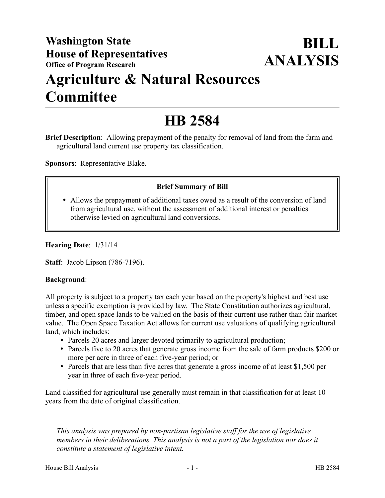## **Agriculture & Natural Resources Committee**

# **HB 2584**

**Brief Description**: Allowing prepayment of the penalty for removal of land from the farm and agricultural land current use property tax classification.

**Sponsors**: Representative Blake.

### **Brief Summary of Bill**

 Allows the prepayment of additional taxes owed as a result of the conversion of land from agricultural use, without the assessment of additional interest or penalties otherwise levied on agricultural land conversions.

#### **Hearing Date**: 1/31/14

**Staff**: Jacob Lipson (786-7196).

#### **Background**:

All property is subject to a property tax each year based on the property's highest and best use unless a specific exemption is provided by law. The State Constitution authorizes agricultural, timber, and open space lands to be valued on the basis of their current use rather than fair market value. The Open Space Taxation Act allows for current use valuations of qualifying agricultural land, which includes:

- Parcels 20 acres and larger devoted primarily to agricultural production;
- Parcels five to 20 acres that generate gross income from the sale of farm products \$200 or more per acre in three of each five-year period; or
- Parcels that are less than five acres that generate a gross income of at least \$1,500 per year in three of each five-year period.

Land classified for agricultural use generally must remain in that classification for at least 10 years from the date of original classification.

––––––––––––––––––––––

*This analysis was prepared by non-partisan legislative staff for the use of legislative members in their deliberations. This analysis is not a part of the legislation nor does it constitute a statement of legislative intent.*